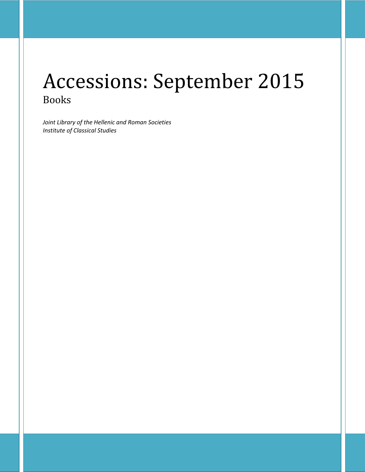# Accessions: September 2015 Books

*Joint Library of the Hellenic and Roman Societies Institute of Classical Studies*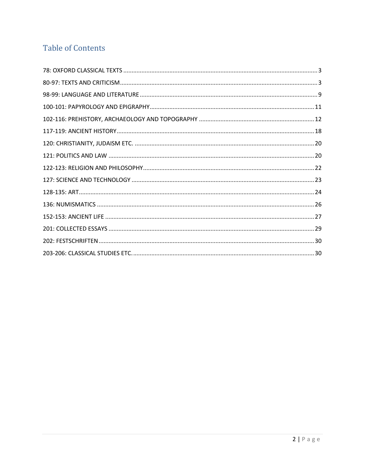# **Table of Contents**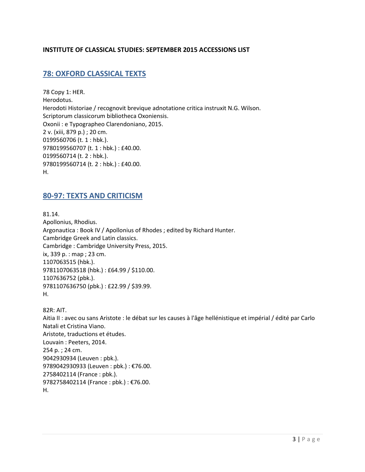#### **INSTITUTE OF CLASSICAL STUDIES: SEPTEMBER 2015 ACCESSIONS LIST**

# <span id="page-2-0"></span>**78: OXFORD CLASSICAL TEXTS**

78 Copy 1: HER. Herodotus. Herodoti Historiae / recognovit brevique adnotatione critica instruxit N.G. Wilson. Scriptorum classicorum bibliotheca Oxoniensis. Oxonii : e Typographeo Clarendoniano, 2015. 2 v. (xiii, 879 p.) ; 20 cm. 0199560706 (t. 1 : hbk.). 9780199560707 (t. 1 : hbk.) : £40.00. 0199560714 (t. 2 : hbk.). 9780199560714 (t. 2 : hbk.) : £40.00. H.

### <span id="page-2-1"></span>**80-97: TEXTS AND CRITICISM**

81.14. Apollonius, Rhodius. Argonautica : Book IV / Apollonius of Rhodes ; edited by Richard Hunter. Cambridge Greek and Latin classics. Cambridge : Cambridge University Press, 2015. ix, 339 p. : map ; 23 cm. 1107063515 (hbk.). 9781107063518 (hbk.) : £64.99 / \$110.00. 1107636752 (pbk.). 9781107636750 (pbk.) : £22.99 / \$39.99. H.

82R: AIT. Aitia II : avec ou sans Aristote : le débat sur les causes à l'âge hellénistique et impérial / édité par Carlo Natali et Cristina Viano. Aristote, traductions et études. Louvain : Peeters, 2014. 254 p. ; 24 cm. 9042930934 (Leuven : pbk.). 9789042930933 (Leuven : pbk.) : €76.00. 2758402114 (France : pbk.). 9782758402114 (France : pbk.) : €76.00. H.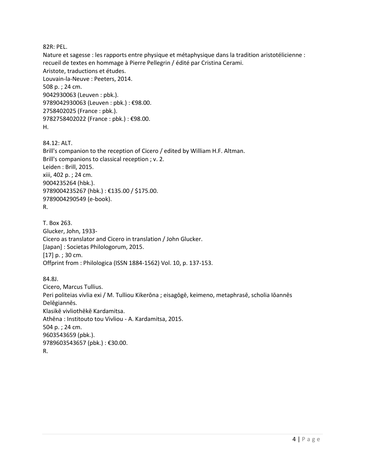82R: PEL.

Nature et sagesse : les rapports entre physique et métaphysique dans la tradition aristotélicienne : recueil de textes en hommage à Pierre Pellegrin / édité par Cristina Cerami. Aristote, traductions et études. Louvain-la-Neuve : Peeters, 2014. 508 p. ; 24 cm. 9042930063 (Leuven : pbk.). 9789042930063 (Leuven : pbk.) : €98.00. 2758402025 (France : pbk.). 9782758402022 (France : pbk.) : €98.00. H.

84.12: ALT. Brill's companion to the reception of Cicero / edited by William H.F. Altman. Brill's companions to classical reception ; v. 2. Leiden : Brill, 2015. xiii, 402 p. ; 24 cm. 9004235264 (hbk.). 9789004235267 (hbk.) : €135.00 / \$175.00. 9789004290549 (e-book). R.

T. Box 263. Glucker, John, 1933- Cicero as translator and Cicero in translation / John Glucker. [Japan] : Societas Philologorum, 2015. [17] p.; 30 cm. Offprint from : Philologica (ISSN 1884-1562) Vol. 10, p. 137-153.

84.8J. Cicero, Marcus Tullius. Peri politeias vivlia exi / M. Tulliou Kikerōna ; eisagōgē, keimeno, metaphrasē, scholia Iōannēs Delēgiannēs. Klasikē vivliothēkē Kardamitsa. Athēna : Institouto tou Vivliou - A. Kardamitsa, 2015. 504 p. ; 24 cm. 9603543659 (pbk.). 9789603543657 (pbk.) : €30.00. R.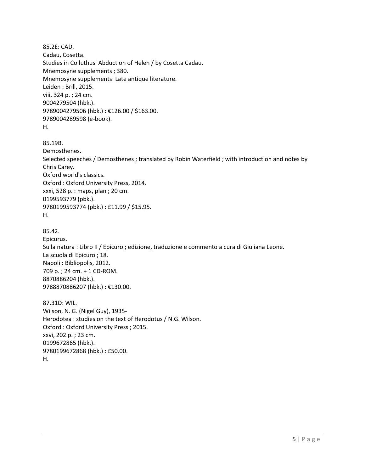85.2E: CAD. Cadau, Cosetta. Studies in Colluthus' Abduction of Helen / by Cosetta Cadau. Mnemosyne supplements ; 380. Mnemosyne supplements: Late antique literature. Leiden : Brill, 2015. viii, 324 p. ; 24 cm. 9004279504 (hbk.). 9789004279506 (hbk.) : €126.00 / \$163.00. 9789004289598 (e-book). H. 85.19B. Demosthenes. Selected speeches / Demosthenes ; translated by Robin Waterfield ; with introduction and notes by Chris Carey. Oxford world's classics. Oxford : Oxford University Press, 2014. xxxi, 528 p. : maps, plan ; 20 cm. 0199593779 (pbk.). 9780199593774 (pbk.) : £11.99 / \$15.95. H. 85.42. Epicurus. Sulla natura : Libro II / Epicuro ; edizione, traduzione e commento a cura di Giuliana Leone. La scuola di Epicuro ; 18. Napoli : Bibliopolis, 2012. 709 p. ; 24 cm. + 1 CD-ROM. 8870886204 (hbk.). 9788870886207 (hbk.) : €130.00. 87.31D: WIL. Wilson, N. G. (Nigel Guy), 1935- Herodotea : studies on the text of Herodotus / N.G. Wilson. Oxford : Oxford University Press ; 2015. xxvi, 202 p. ; 23 cm.

0199672865 (hbk.). 9780199672868 (hbk.) : £50.00.

H.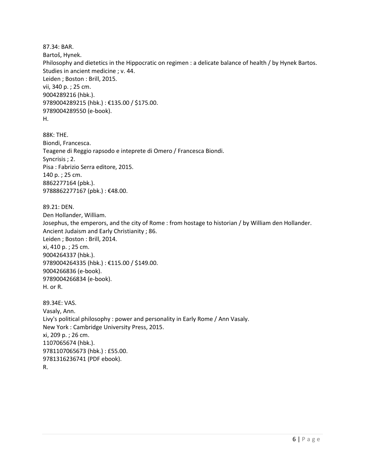87.34: BAR. Bartoš, Hynek. Philosophy and dietetics in the Hippocratic on regimen : a delicate balance of health / by Hynek Bartos. Studies in ancient medicine ; v. 44. Leiden ; Boston : Brill, 2015. vii, 340 p. ; 25 cm. 9004289216 (hbk.). 9789004289215 (hbk.) : €135.00 / \$175.00. 9789004289550 (e-book). H.

88K: THE. Biondi, Francesca. Teagene di Reggio rapsodo e inteprete di Omero / Francesca Biondi. Syncrisis ; 2. Pisa : Fabrizio Serra editore, 2015. 140 p. ; 25 cm. 8862277164 (pbk.). 9788862277167 (pbk.): €48.00.

89.21: DEN. Den Hollander, William. Josephus, the emperors, and the city of Rome : from hostage to historian / by William den Hollander. Ancient Judaism and Early Christianity ; 86. Leiden ; Boston : Brill, 2014. xi, 410 p. ; 25 cm. 9004264337 (hbk.). 9789004264335 (hbk.) : €115.00 / \$149.00. 9004266836 (e-book). 9789004266834 (e-book). H. or R.

89.34E: VAS. Vasaly, Ann. Livy's political philosophy : power and personality in Early Rome / Ann Vasaly. New York : Cambridge University Press, 2015. xi, 209 p. ; 26 cm. 1107065674 (hbk.). 9781107065673 (hbk.) : £55.00. 9781316236741 (PDF ebook). R.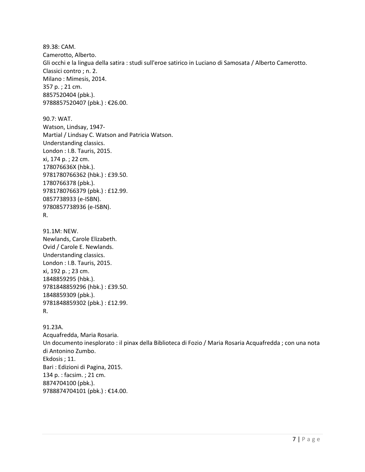89.38: CAM. Camerotto, Alberto. Gli occhi e la lingua della satira : studi sull'eroe satirico in Luciano di Samosata / Alberto Camerotto. Classici contro ; n. 2. Milano : Mimesis, 2014. 357 p. ; 21 cm. 8857520404 (pbk.). 9788857520407 (pbk.) : €26.00.

90.7: WAT. Watson, Lindsay, 1947- Martial / Lindsay C. Watson and Patricia Watson. Understanding classics. London : I.B. Tauris, 2015. xi, 174 p. ; 22 cm. 178076636X (hbk.). 9781780766362 (hbk.) : £39.50. 1780766378 (pbk.). 9781780766379 (pbk.) : £12.99. 0857738933 (e-ISBN). 9780857738936 (e-ISBN). R.

91.1M: NEW. Newlands, Carole Elizabeth. Ovid / Carole E. Newlands. Understanding classics. London : I.B. Tauris, 2015. xi, 192 p. ; 23 cm. 1848859295 (hbk.). 9781848859296 (hbk.) : £39.50. 1848859309 (pbk.). 9781848859302 (pbk.) : £12.99. R.

91.23A. Acquafredda, Maria Rosaria. Un documento inesplorato : il pinax della Biblioteca di Fozio / Maria Rosaria Acquafredda ; con una nota di Antonino Zumbo. Ekdosis ; 11. Bari : Edizioni di Pagina, 2015. 134 p. : facsim. ; 21 cm. 8874704100 (pbk.). 9788874704101 (pbk.) : €14.00.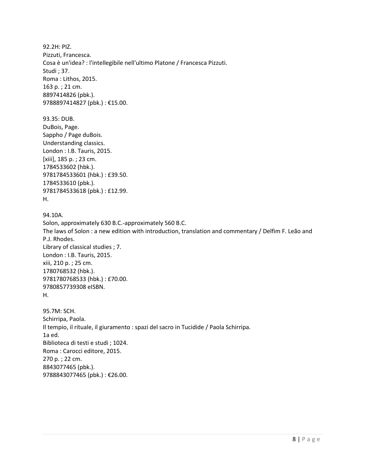92.2H: PIZ. Pizzuti, Francesca. Cosa è un'idea? : l'intellegibile nell'ultimo Platone / Francesca Pizzuti. Studi ; 37. Roma : Lithos, 2015. 163 p. ; 21 cm. 8897414826 (pbk.). 9788897414827 (pbk.) : €15.00.

93.35: DUB. DuBois, Page. Sappho / Page duBois. Understanding classics. London : I.B. Tauris, 2015. [xiii], 185 p. ; 23 cm. 1784533602 (hbk.). 9781784533601 (hbk.) : £39.50. 1784533610 (pbk.). 9781784533618 (pbk.) : £12.99. H.

### 94.10A.

Solon, approximately 630 B.C.-approximately 560 B.C. The laws of Solon : a new edition with introduction, translation and commentary / Delfim F. Leão and P.J. Rhodes. Library of classical studies ; 7. London : I.B. Tauris, 2015. xiii, 210 p. ; 25 cm. 1780768532 (hbk.). 9781780768533 (hbk.) : £70.00. 9780857739308 eISBN. H.

95.7M: SCH. Schirripa, Paola. Il tempio, il rituale, il giuramento : spazi del sacro in Tucidide / Paola Schirripa. 1a ed. Biblioteca di testi e studi ; 1024. Roma : Carocci editore, 2015. 270 p. ; 22 cm. 8843077465 (pbk.). 9788843077465 (pbk.) : €26.00.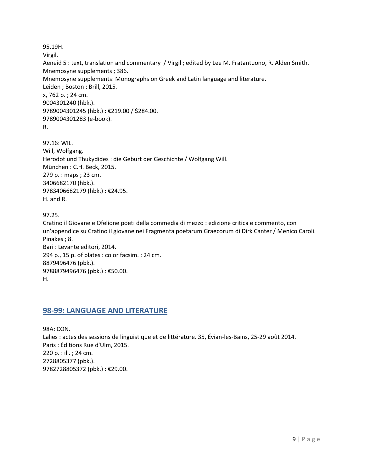95.19H. Virgil. Aeneid 5 : text, translation and commentary / Virgil ; edited by Lee M. Fratantuono, R. Alden Smith. Mnemosyne supplements ; 386. Mnemosyne supplements: Monographs on Greek and Latin language and literature. Leiden ; Boston : Brill, 2015. x, 762 p. ; 24 cm. 9004301240 (hbk.). 9789004301245 (hbk.) : €219.00 / \$284.00. 9789004301283 (e-book). R.

97.16: WIL. Will, Wolfgang. Herodot und Thukydides : die Geburt der Geschichte / Wolfgang Will. München : C.H. Beck, 2015. 279 p. : maps ; 23 cm. 3406682170 (hbk.). 9783406682179 (hbk.) : €24.95. H. and R.

97.25. Cratino il Giovane e Ofelione poeti della commedia di mezzo : edizione critica e commento, con un'appendice su Cratino il giovane nei Fragmenta poetarum Graecorum di Dirk Canter / Menico Caroli. Pinakes ; 8. Bari : Levante editori, 2014. 294 p., 15 p. of plates : color facsim. ; 24 cm. 8879496476 (pbk.). 9788879496476 (pbk.) : €50.00. H.

# <span id="page-8-0"></span>**98-99: LANGUAGE AND LITERATURE**

98A: CON. Lalies : actes des sessions de linguistique et de littérature. 35, Évian-les-Bains, 25-29 août 2014. Paris : Éditions Rue d'Ulm, 2015. 220 p. : ill. ; 24 cm. 2728805377 (pbk.). 9782728805372 (pbk.) : €29.00.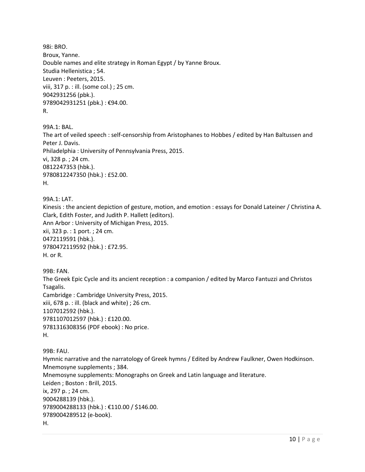98i: BRO. Broux, Yanne. Double names and elite strategy in Roman Egypt / by Yanne Broux. Studia Hellenistica ; 54. Leuven : Peeters, 2015. viii, 317 p. : ill. (some col.) ; 25 cm. 9042931256 (pbk.). 9789042931251 (pbk.) : €94.00. R.

99A.1: BAL. The art of veiled speech : self-censorship from Aristophanes to Hobbes / edited by Han Baltussen and Peter J. Davis. Philadelphia : University of Pennsylvania Press, 2015. vi, 328 p. ; 24 cm. 0812247353 (hbk.). 9780812247350 (hbk.) : £52.00. H.

99A.1: LAT. Kinesis : the ancient depiction of gesture, motion, and emotion : essays for Donald Lateiner / Christina A. Clark, Edith Foster, and Judith P. Hallett (editors). Ann Arbor : University of Michigan Press, 2015. xii, 323 p. : 1 port. ; 24 cm. 0472119591 (hbk.). 9780472119592 (hbk.) : £72.95. H. or R.

99B: FAN. The Greek Epic Cycle and its ancient reception : a companion / edited by Marco Fantuzzi and Christos Tsagalis. Cambridge : Cambridge University Press, 2015. xiii, 678 p. : ill. (black and white) ; 26 cm. 1107012592 (hbk.). 9781107012597 (hbk.) : £120.00. 9781316308356 (PDF ebook) : No price. H.

99B: FAU. Hymnic narrative and the narratology of Greek hymns / Edited by Andrew Faulkner, Owen Hodkinson. Mnemosyne supplements ; 384. Mnemosyne supplements: Monographs on Greek and Latin language and literature. Leiden ; Boston : Brill, 2015. ix, 297 p. ; 24 cm. 9004288139 (hbk.). 9789004288133 (hbk.) : €110.00 / \$146.00. 9789004289512 (e-book). H.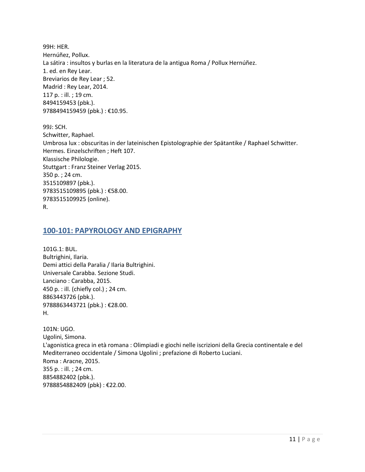99H: HER. Hernúñez, Pollux. La sátira : insultos y burlas en la literatura de la antigua Roma / Pollux Hernúñez. 1. ed. en Rey Lear. Breviarios de Rey Lear ; 52. Madrid : Rey Lear, 2014. 117 p. : ill. ; 19 cm. 8494159453 (pbk.). 9788494159459 (pbk.) : €10.95.

99J: SCH. Schwitter, Raphael. Umbrosa lux : obscuritas in der lateinischen Epistolographie der Spätantike / Raphael Schwitter. Hermes. Einzelschriften ; Heft 107. Klassische Philologie. Stuttgart : Franz Steiner Verlag 2015. 350 p. ; 24 cm. 3515109897 (pbk.). 9783515109895 (pbk.) : €58.00. 9783515109925 (online). R.

#### <span id="page-10-0"></span>**100-101: PAPYROLOGY AND EPIGRAPHY**

101G.1: BUL. Bultrighini, Ilaria. Demi attici della Paralia / Ilaria Bultrighini. Universale Carabba. Sezione Studi. Lanciano : Carabba, 2015. 450 p. : ill. (chiefly col.) ; 24 cm. 8863443726 (pbk.). 9788863443721 (pbk.) : €28.00. H.

101N: UGO. Ugolini, Simona. L'agonistica greca in età romana : Olimpiadi e giochi nelle iscrizioni della Grecia continentale e del Mediterraneo occidentale / Simona Ugolini ; prefazione di Roberto Luciani. Roma : Aracne, 2015. 355 p. : ill. ; 24 cm. 8854882402 (pbk.). 9788854882409 (pbk) : €22.00.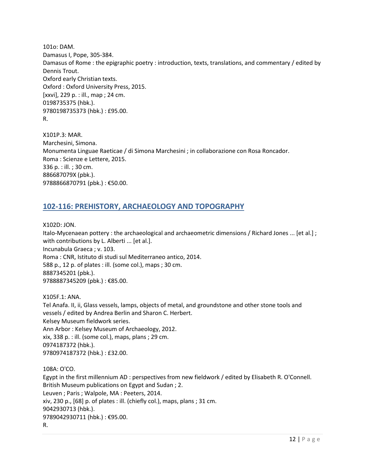101o: DAM. Damasus I, Pope, 305-384. Damasus of Rome : the epigraphic poetry : introduction, texts, translations, and commentary / edited by Dennis Trout. Oxford early Christian texts. Oxford : Oxford University Press, 2015. [xxvi], 229 p. : ill., map ; 24 cm. 0198735375 (hbk.). 9780198735373 (hbk.) : £95.00. R.

X101P.3: MAR. Marchesini, Simona. Monumenta Linguae Raeticae / di Simona Marchesini ; in collaborazione con Rosa Roncador. Roma : Scienze e Lettere, 2015. 336 p. : ill. ; 30 cm. 886687079X (pbk.). 9788866870791 (pbk.) : €50.00.

# <span id="page-11-0"></span>**102-116: PREHISTORY, ARCHAEOLOGY AND TOPOGRAPHY**

X102D: JON. Italo-Mycenaean pottery : the archaeological and archaeometric dimensions / Richard Jones ... [et al.] ; with contributions by L. Alberti ... [et al.]. Incunabula Graeca ; v. 103. Roma : CNR, Istituto di studi sul Mediterraneo antico, 2014. 588 p., 12 p. of plates : ill. (some col.), maps ; 30 cm. 8887345201 (pbk.). 9788887345209 (pbk.): €85.00.

X105F.1: ANA. Tel Anafa. II, ii, Glass vessels, lamps, objects of metal, and groundstone and other stone tools and vessels / edited by Andrea Berlin and Sharon C. Herbert. Kelsey Museum fieldwork series. Ann Arbor : Kelsey Museum of Archaeology, 2012. xix, 338 p. : ill. (some col.), maps, plans ; 29 cm. 0974187372 (hbk.). 9780974187372 (hbk.) : £32.00. 108A: O'CO. Egypt in the first millennium AD : perspectives from new fieldwork / edited by Elisabeth R. O'Connell. British Museum publications on Egypt and Sudan ; 2.

Leuven ; Paris ; Walpole, MA : Peeters, 2014.

xiv, 230 p., [68] p. of plates : ill. (chiefly col.), maps, plans ; 31 cm.

9042930713 (hbk.).

9789042930711 (hbk.) : €95.00.

R.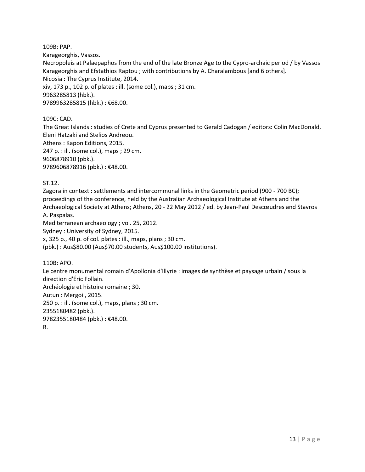109B: PAP.

Karageorghis, Vassos.

Necropoleis at Palaepaphos from the end of the late Bronze Age to the Cypro-archaic period / by Vassos Karageorghis and Efstathios Raptou ; with contributions by A. Charalambous [and 6 others]. Nicosia : The Cyprus Institute, 2014. xiv, 173 p., 102 p. of plates : ill. (some col.), maps ; 31 cm. 9963285813 (hbk.). 9789963285815 (hbk.) : €68.00.

109C: CAD.

The Great Islands : studies of Crete and Cyprus presented to Gerald Cadogan / editors: Colin MacDonald, Eleni Hatzaki and Stelios Andreou.

Athens : Kapon Editions, 2015. 247 p. : ill. (some col.), maps ; 29 cm. 9606878910 (pbk.). 9789606878916 (pbk.) : €48.00.

ST.12.

Zagora in context : settlements and intercommunal links in the Geometric period (900 - 700 BC); proceedings of the conference, held by the Australian Archaeological Institute at Athens and the Archaeological Society at Athens; Athens, 20 - 22 May 2012 / ed. by Jean-Paul Descœudres and Stavros A. Paspalas.

Mediterranean archaeology ; vol. 25, 2012.

Sydney : University of Sydney, 2015.

x, 325 p., 40 p. of col. plates : ill., maps, plans ; 30 cm.

(pbk.) : Aus\$80.00 (Aus\$70.00 students, Aus\$100.00 institutions).

110B: APO.

Le centre monumental romain d'Apollonia d'Illyrie : images de synthèse et paysage urbain / sous la direction d'Éric Follain. Archéologie et histoire romaine ; 30. Autun : Mergoil, 2015. 250 p. : ill. (some col.), maps, plans ; 30 cm. 2355180482 (pbk.). 9782355180484 (pbk.) : €48.00. R.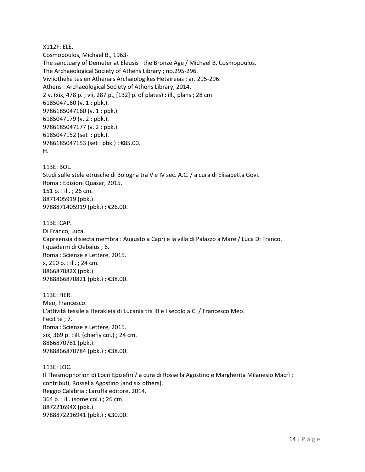#### X112F: ELE.

Cosmopoulos, Michael B., 1963- The sanctuary of Demeter at Eleusis : the Bronze Age / Michael B. Cosmopoulos. The Archaeological Society of Athens Library ; no.295-296. Vivliothēkē tēs en Athēnais Archaiologikēs Hetaireias ; ar. 295-296. Athens : Archaeological Society of Athens Library, 2014. 2 v. (xix, 478 p. ; vii, 287 p., [132] p. of plates) : ill., plans ; 28 cm. 6185047160 (v. 1 : pbk.). 9786185047160 (v. 1 : pbk.). 6185047179 (v. 2 : pbk.). 9786185047177 (v. 2 : pbk.). 6185047152 (set : pbk.). 9786185047153 (set : pbk.) : €85.00. H.

113E: BOL. Studi sulle stele etrusche di Bologna tra V e IV sec. A.C. / a cura di Elisabetta Govi. Roma : Edizioni Quasar, 2015. 151 p. : ill. ; 26 cm. 8871405919 (pbk.). 9788871405919 (pbk.) : €26.00.

113E: CAP.

Di Franco, Luca. Capreensia disiecta membra : Augusto a Capri e la villa di Palazzo a Mare / Luca Di Franco. I quaderni di Oebalus ; 6. Roma : Scienze e Lettere, 2015. x, 210 p. : ill. ; 24 cm. 886687082X (pbk.). 9788866870821 (pbk.): €38.00.

113E: HER. Meo, Francesco. L'attività tessile a Herakleia di Lucania tra III e I secolo a.C. / Francesco Meo. Fecit te ; 7. Roma : Scienze e Lettere, 2015. xix, 369 p. : ill. (chiefly col.) ; 24 cm. 8866870781 (pbk.). 9788866870784 (pbk.) : €38.00.

113E: LOC. Il Thesmophorion di Locri Epizefiri / a cura di Rossella Agostino e Margherita Milanesio Macrì ; contributi, Rossella Agostino [and six others]. Reggio Calabria : Laruffa editore, 2014. 364 p. : ill. (some col.) ; 26 cm. 887221694X (pbk.). 9788872216941 (pbk.) : €30.00.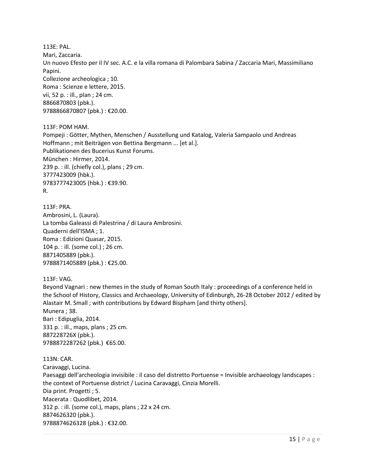113E: PAL. Mari, Zaccaria. Un nuovo Efesto per il IV sec. A.C. e la villa romana di Palombara Sabina / Zaccaria Mari, Massimiliano Papini. Collezione archeologica ; 10. Roma : Scienze e lettere, 2015. vii, 52 p. : ill., plan ; 24 cm. 8866870803 (pbk.). 9788866870807 (pbk.) : €20.00.

113F: POM HAM. Pompeji : Götter, Mythen, Menschen / Ausstellung und Katalog, Valeria Sampaolo und Andreas Hoffmann ; mit Beiträgen von Bettina Bergmann ... [et al.]. Publikationen des Bucerius Kunst Forums. München : Hirmer, 2014. 239 p. : ill. (chiefly col.), plans ; 29 cm. 3777423009 (hbk.). 9783777423005 (hbk.) : €39.90. R.

113F: PRA. Ambrosini, L. (Laura). La tomba Galeassi di Palestrina / di Laura Ambrosini. Quaderni dell'ISMA ; 1. Roma : Edizioni Quasar, 2015. 104 p. : ill. (some col.) ; 26 cm. 8871405889 (pbk.). 9788871405889 (pbk.) : €25.00.

113F: VAG.

Beyond Vagnari : new themes in the study of Roman South Italy : proceedings of a conference held in the School of History, Classics and Archaeology, University of Edinburgh, 26-28 October 2012 / edited by Alastair M. Small ; with contributions by Edward Bispham [and thirty others]. Munera ; 38. Bari : Edipuglia, 2014. 331 p. : ill., maps, plans ; 25 cm. 887228726X (pbk.). 9788872287262 (pbk.) €65.00.

113N: CAR. Caravaggi, Lucina. Paesaggi dell'archeologia invisibile : il caso del distretto Portuense = Invisible archaeology landscapes : the context of Portuense district / Lucina Caravaggi, Cinzia Morelli. Dia print. Progetti ; 5. Macerata : Quodlibet, 2014. 312 p. : ill. (some col.), maps, plans ; 22 x 24 cm. 8874626320 (pbk.). 9788874626328 (pbk.) : €32.00.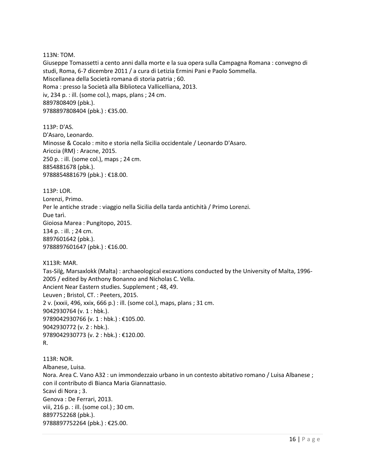113N: TOM.

Giuseppe Tomassetti a cento anni dalla morte e la sua opera sulla Campagna Romana : convegno di studi, Roma, 6-7 dicembre 2011 / a cura di Letizia Ermini Pani e Paolo Sommella. Miscellanea della Società romana di storia patria ; 60. Roma : presso la Società alla Biblioteca Vallicelliana, 2013. iv, 234 p. : ill. (some col.), maps, plans ; 24 cm. 8897808409 (pbk.). 9788897808404 (pbk.) : €35.00.

113P: D'AS. D'Asaro, Leonardo. Minosse & Cocalo : mito e storia nella Sicilia occidentale / Leonardo D'Asaro. Ariccia (RM) : Aracne, 2015. 250 p. : ill. (some col.), maps ; 24 cm. 8854881678 (pbk.). 9788854881679 (pbk.) : €18.00.

113P: LOR. Lorenzi, Primo. Per le antiche strade : viaggio nella Sicilia della tarda antichità / Primo Lorenzi. Due tarì. Gioiosa Marea : Pungitopo, 2015. 134 p. : ill. ; 24 cm. 8897601642 (pbk.). 9788897601647 (pbk.) : €16.00.

X113R: MAR. Tas-Silġ, Marsaxlokk (Malta) : archaeological excavations conducted by the University of Malta, 1996- 2005 / edited by Anthony Bonanno and Nicholas C. Vella. Ancient Near Eastern studies. Supplement ; 48, 49. Leuven ; Bristol, CT. : Peeters, 2015. 2 v. (xxxii, 496, xxix, 666 p.) : ill. (some col.), maps, plans ; 31 cm. 9042930764 (v. 1 : hbk.). 9789042930766 (v. 1 : hbk.) : €105.00. 9042930772 (v. 2 : hbk.). 9789042930773 (v. 2 : hbk.) : €120.00. R.

113R: NOR. Albanese, Luisa. Nora. Area C. Vano A32 : un immondezzaio urbano in un contesto abitativo romano / Luisa Albanese ; con il contributo di Bianca Maria Giannattasio. Scavi di Nora ; 3. Genova : De Ferrari, 2013. viii, 216 p. : ill. (some col.) ; 30 cm. 8897752268 (pbk.). 9788897752264 (pbk.) : €25.00.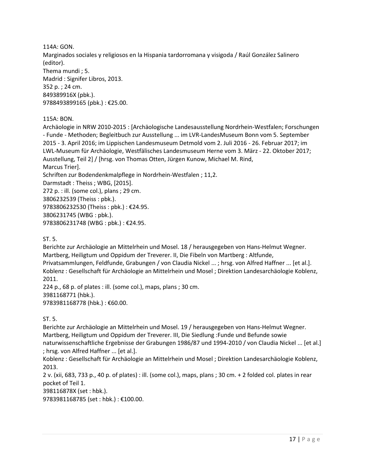114A: GON. Marginados sociales y religiosos en la Hispania tardorromana y visigoda / Raúl González Salinero (editor). Thema mundi ; 5. Madrid : Signifer Libros, 2013. 352 p. ; 24 cm. 849389916X (pbk.). 9788493899165 (pbk.) : €25.00.

115A: BON.

Archäologie in NRW 2010-2015 : [Archäologische Landesausstellung Nordrhein-Westfalen; Forschungen - Funde - Methoden; Begleitbuch zur Ausstellung ... im LVR-LandesMuseum Bonn vom 5. September 2015 - 3. April 2016; im Lippischen Landesmuseum Detmold vom 2. Juli 2016 - 26. Februar 2017; im LWL-Museum für Archäologie, Westfälisches Landesmuseum Herne vom 3. März - 22. Oktober 2017; Ausstellung, Teil 2] / [hrsg. von Thomas Otten, Jürgen Kunow, Michael M. Rind, Marcus Trier]. Schriften zur Bodendenkmalpflege in Nordrhein-Westfalen ; 11,2. Darmstadt : Theiss ; WBG, [2015]. 272 p. : ill. (some col.), plans ; 29 cm. 3806232539 (Theiss : pbk.). 9783806232530 (Theiss : pbk.) : €24.95. 3806231745 (WBG : pbk.).

9783806231748 (WBG : pbk.) : €24.95.

ST. 5.

Berichte zur Archäologie an Mittelrhein und Mosel. 18 / herausgegeben von Hans-Helmut Wegner. Martberg, Heiligtum und Oppidum der Treverer. II, Die Fibeln von Martberg : Altfunde, Privatsammlungen, Feldfunde, Grabungen / von Claudia Nickel ... ; hrsg. von Alfred Haffner ... [et al.]. Koblenz : Gesellschaft für Archäologie an Mittelrhein und Mosel ; Direktion Landesarchäologie Koblenz, 2011.

224 p., 68 p. of plates : ill. (some col.), maps, plans ; 30 cm. 3981168771 (hbk.). 9783981168778 (hbk.) : €60.00.

ST. 5.

Berichte zur Archäologie an Mittelrhein und Mosel. 19 / herausgegeben von Hans-Helmut Wegner. Martberg, Heiligtum und Oppidum der Treverer. III, Die Siedlung :Funde und Befunde sowie naturwissenschaftliche Ergebnisse der Grabungen 1986/87 und 1994-2010 / von Claudia Nickel ... [et al.] ; hrsg. von Alfred Haffner ... [et al.].

Koblenz : Gesellschaft für Archäologie an Mittelrhein und Mosel ; Direktion Landesarchäologie Koblenz, 2013.

2 v. (xii, 683, 733 p., 40 p. of plates) : ill. (some col.), maps, plans ; 30 cm. + 2 folded col. plates in rear pocket of Teil 1.

398116878X (set : hbk.).

9783981168785 (set : hbk.) : €100.00.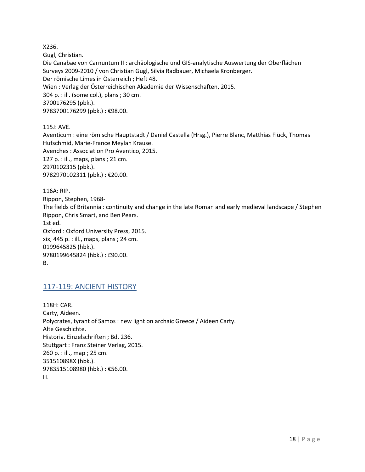X236.

Gugl, Christian.

Die Canabae von Carnuntum II : archäologische und GIS-analytische Auswertung der Oberflächen Surveys 2009-2010 / von Christian Gugl, Silvia Radbauer, Michaela Kronberger. Der römische Limes in Österreich ; Heft 48. Wien : Verlag der Österreichischen Akademie der Wissenschaften, 2015. 304 p. : ill. (some col.), plans ; 30 cm. 3700176295 (pbk.). 9783700176299 (pbk.) : €98.00.

115J: AVE.

Aventicum : eine römische Hauptstadt / Daniel Castella (Hrsg.), Pierre Blanc, Matthias Flück, Thomas Hufschmid, Marie-France Meylan Krause. Avenches : Association Pro Aventico, 2015. 127 p. : ill., maps, plans ; 21 cm. 2970102315 (pbk.). 9782970102311 (pbk.) : €20.00.

116A: RIP. Rippon, Stephen, 1968- The fields of Britannia : continuity and change in the late Roman and early medieval landscape / Stephen Rippon, Chris Smart, and Ben Pears. 1st ed. Oxford : Oxford University Press, 2015. xix, 445 p. : ill., maps, plans ; 24 cm. 0199645825 (hbk.). 9780199645824 (hbk.) : £90.00. B.

# <span id="page-17-0"></span>117-119: ANCIENT HISTORY

118H: CAR. Carty, Aideen. Polycrates, tyrant of Samos : new light on archaic Greece / Aideen Carty. Alte Geschichte. Historia. Einzelschriften ; Bd. 236. Stuttgart : Franz Steiner Verlag, 2015. 260 p. : ill., map ; 25 cm. 351510898X (hbk.). 9783515108980 (hbk.) : €56.00. H.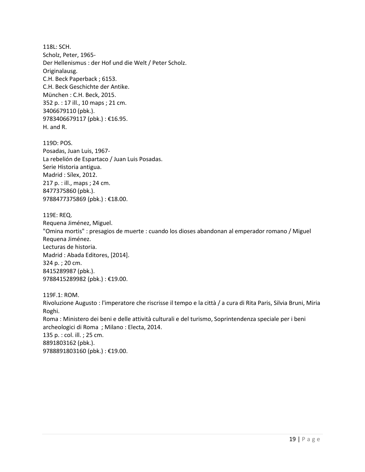118L: SCH. Scholz, Peter, 1965- Der Hellenismus : der Hof und die Welt / Peter Scholz. Originalausg. C.H. Beck Paperback ; 6153. C.H. Beck Geschichte der Antike. München : C.H. Beck, 2015. 352 p. : 17 ill., 10 maps ; 21 cm. 3406679110 (pbk.). 9783406679117 (pbk.) : €16.95. H. and R.

119D: POS. Posadas, Juan Luis, 1967- La rebelión de Espartaco / Juan Luis Posadas. Serie Historia antigua. Madrid : Sílex, 2012. 217 p. : ill., maps ; 24 cm. 8477375860 (pbk.). 9788477375869 (pbk.) : €18.00.

119E: REQ. Requena Jiménez, Miguel. "Omina mortis" : presagios de muerte : cuando los dioses abandonan al emperador romano / Miguel Requena Jiménez. Lecturas de historia. Madrid : Abada Editores, [2014]. 324 p. ; 20 cm. 8415289987 (pbk.). 9788415289982 (pbk.) : €19.00.

119F.1: ROM. Rivoluzione Augusto : l'imperatore che riscrisse il tempo e la città / a cura di Rita Paris, Silvia Bruni, Miria Roghi. Roma : Ministero dei beni e delle attività culturali e del turismo, Soprintendenza speciale per i beni archeologici di Roma ; Milano : Electa, 2014. 135 p. : col. ill. ; 25 cm. 8891803162 (pbk.). 9788891803160 (pbk.) : €19.00.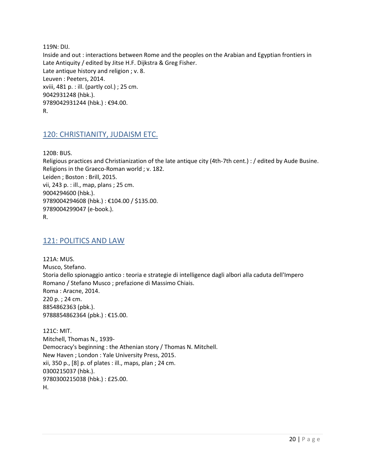119N: DIJ. Inside and out : interactions between Rome and the peoples on the Arabian and Egyptian frontiers in Late Antiquity / edited by Jitse H.F. Dijkstra & Greg Fisher. Late antique history and religion ; v. 8. Leuven : Peeters, 2014. xviii, 481 p. : ill. (partly col.) ; 25 cm. 9042931248 (hbk.). 9789042931244 (hbk.) : €94.00. R.

# <span id="page-19-0"></span>120: CHRISTIANITY, JUDAISM ETC.

120B: BUS.

Religious practices and Christianization of the late antique city (4th-7th cent.) : / edited by Aude Busine. Religions in the Graeco-Roman world ; v. 182. Leiden ; Boston : Brill, 2015. vii, 243 p. : ill., map, plans ; 25 cm. 9004294600 (hbk.). 9789004294608 (hbk.) : €104.00 / \$135.00. 9789004299047 (e-book.). R.

#### <span id="page-19-1"></span>121: POLITICS AND LAW

121A: MUS. Musco, Stefano. Storia dello spionaggio antico : teoria e strategie di intelligence dagli albori alla caduta dell'Impero Romano / Stefano Musco ; prefazione di Massimo Chiais. Roma : Aracne, 2014. 220 p. ; 24 cm. 8854862363 (pbk.). 9788854862364 (pbk.) : €15.00.

121C: MIT. Mitchell, Thomas N., 1939- Democracy's beginning : the Athenian story / Thomas N. Mitchell. New Haven ; London : Yale University Press, 2015. xii, 350 p., [8] p. of plates : ill., maps, plan ; 24 cm. 0300215037 (hbk.). 9780300215038 (hbk.) : £25.00. H.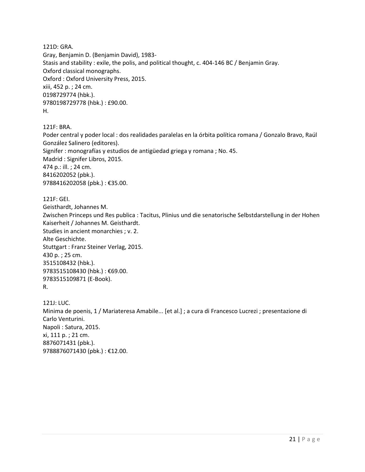121D: GRA. Gray, Benjamin D. (Benjamin David), 1983- Stasis and stability : exile, the polis, and political thought, c. 404-146 BC / Benjamin Gray. Oxford classical monographs. Oxford : Oxford University Press, 2015. xiii, 452 p. ; 24 cm. 0198729774 (hbk.). 9780198729778 (hbk.) : £90.00. H.

121F: BRA.

Poder central y poder local : dos realidades paralelas en la órbita política romana / Gonzalo Bravo, Raúl González Salinero (editores). Signifer : monografías y estudios de antigüedad griega y romana ; No. 45. Madrid : Signifer Libros, 2015. 474 p.: ill. ; 24 cm. 8416202052 (pbk.). 9788416202058 (pbk.) : €35.00.

121F: GEI.

Geisthardt, Johannes M. Zwischen Princeps und Res publica : Tacitus, Plinius und die senatorische Selbstdarstellung in der Hohen Kaiserheit / Johannes M. Geisthardt. Studies in ancient monarchies ; v. 2. Alte Geschichte. Stuttgart : Franz Steiner Verlag, 2015. 430 p. ; 25 cm. 3515108432 (hbk.). 9783515108430 (hbk.) : €69.00. 9783515109871 (E-Book). R.

121J: LUC. Minima de poenis, 1 / Mariateresa Amabile... [et al.] ; a cura di Francesco Lucrezi ; presentazione di Carlo Venturini. Napoli : Satura, 2015. xi, 111 p. ; 21 cm. 8876071431 (pbk.). 9788876071430 (pbk.) : €12.00.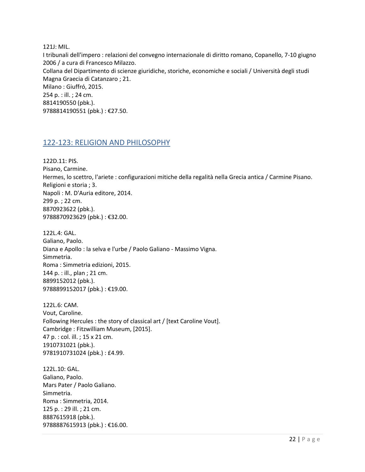121J: MIL.

I tribunali dell'impero : relazioni del convegno internazionale di diritto romano, Copanello, 7-10 giugno 2006 / a cura di Francesco Milazzo. Collana del Dipartimento di scienze giuridiche, storiche, economiche e sociali / Università degli studi Magna Graecia di Catanzaro ; 21. Milano : Giuffró, 2015. 254 p. : ill. ; 24 cm. 8814190550 (pbk.). 9788814190551 (pbk.) : €27.50.

# <span id="page-21-0"></span>122-123: RELIGION AND PHILOSOPHY

122D.11: PIS.

Pisano, Carmine.

Hermes, lo scettro, l'ariete : configurazioni mitiche della regalità nella Grecia antica / Carmine Pisano. Religioni e storia ; 3. Napoli : M. D'Auria editore, 2014. 299 p. ; 22 cm. 8870923622 (pbk.). 9788870923629 (pbk.) : €32.00.

122L.4: GAL. Galiano, Paolo. Diana e Apollo : la selva e l'urbe / Paolo Galiano - Massimo Vigna. Simmetria. Roma : Simmetria edizioni, 2015. 144 p. : ill., plan ; 21 cm. 8899152012 (pbk.). 9788899152017 (pbk.) : €19.00.

122L.6: CAM. Vout, Caroline. Following Hercules : the story of classical art / [text Caroline Vout]. Cambridge : Fitzwilliam Museum, [2015]. 47 p. : col. ill. ; 15 x 21 cm. 1910731021 (pbk.). 9781910731024 (pbk.) : £4.99.

122L.10: GAL. Galiano, Paolo. Mars Pater / Paolo Galiano. Simmetria. Roma : Simmetria, 2014. 125 p. : 29 ill. ; 21 cm. 8887615918 (pbk.). 9788887615913 (pbk.) : €16.00.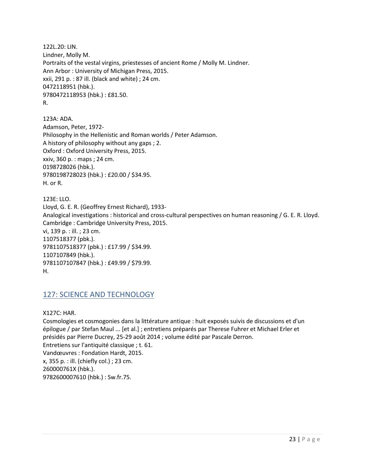122L.20: LIN. Lindner, Molly M. Portraits of the vestal virgins, priestesses of ancient Rome / Molly M. Lindner. Ann Arbor : University of Michigan Press, 2015. xxii, 291 p. : 87 ill. (black and white) ; 24 cm. 0472118951 (hbk.). 9780472118953 (hbk.) : £81.50. R.

123A: ADA. Adamson, Peter, 1972- Philosophy in the Hellenistic and Roman worlds / Peter Adamson. A history of philosophy without any gaps ; 2. Oxford : Oxford University Press, 2015. xxiv, 360 p. : maps ; 24 cm. 0198728026 (hbk.). 9780198728023 (hbk.) : £20.00 / \$34.95. H. or R.

123E: LLO. Lloyd, G. E. R. (Geoffrey Ernest Richard), 1933- Analogical investigations : historical and cross-cultural perspectives on human reasoning / G. E. R. Lloyd. Cambridge : Cambridge University Press, 2015. vi, 139 p. : ill. ; 23 cm. 1107518377 (pbk.). 9781107518377 (pbk.) : £17.99 / \$34.99. 1107107849 (hbk.). 9781107107847 (hbk.) : £49.99 / \$79.99. H.

# <span id="page-22-0"></span>127: SCIENCE AND TECHNOLOGY

X127C: HAR.

Cosmologies et cosmogonies dans la littérature antique : huit exposés suivis de discussions et d'un épilogue / par Stefan Maul ... [et al.] ; entretiens préparés par Therese Fuhrer et Michael Erler et présidés par Pierre Ducrey, 25-29 août 2014 ; volume édité par Pascale Derron. Entretiens sur l'antiquité classique ; t. 61. Vandœuvres : Fondation Hardt, 2015. x, 355 p. : ill. (chiefly col.) ; 23 cm. 260000761X (hbk.). 9782600007610 (hbk.) : Sw.fr.75.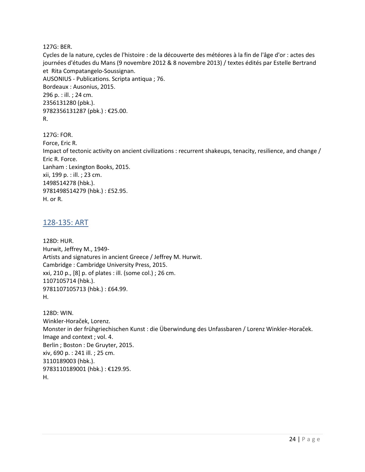127G: BER.

Cycles de la nature, cycles de l'histoire : de la découverte des météores à la fin de l'âge d'or : actes des journées d'études du Mans (9 novembre 2012 & 8 novembre 2013) / textes édités par Estelle Bertrand et Rita Compatangelo-Soussignan. AUSONIUS - Publications. Scripta antiqua ; 76. Bordeaux : Ausonius, 2015. 296 p. : ill. ; 24 cm. 2356131280 (pbk.). 9782356131287 (pbk.) : €25.00. R.

127G: FOR. Force, Eric R. Impact of tectonic activity on ancient civilizations : recurrent shakeups, tenacity, resilience, and change / Eric R. Force. Lanham : Lexington Books, 2015. xii, 199 p. : ill. ; 23 cm. 1498514278 (hbk.). 9781498514279 (hbk.) : £52.95. H. or R.

# <span id="page-23-0"></span>128-135: ART

128D: HUR. Hurwit, Jeffrey M., 1949- Artists and signatures in ancient Greece / Jeffrey M. Hurwit. Cambridge : Cambridge University Press, 2015. xxi, 210 p., [8] p. of plates : ill. (some col.) ; 26 cm. 1107105714 (hbk.). 9781107105713 (hbk.) : £64.99. H.

128D: WIN. Winkler-Horaček, Lorenz. Monster in der frühgriechischen Kunst : die Überwindung des Unfassbaren / Lorenz Winkler-Horaček. Image and context ; vol. 4. Berlin ; Boston : De Gruyter, 2015. xiv, 690 p. : 241 ill. ; 25 cm. 3110189003 (hbk.). 9783110189001 (hbk.) : €129.95. H.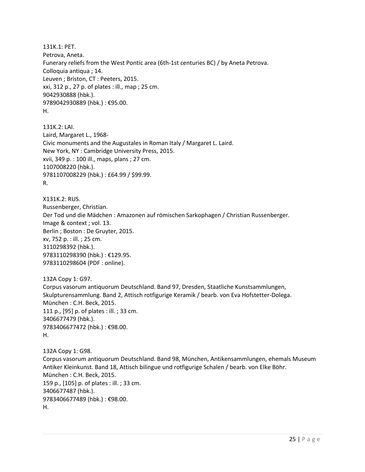131K.1: PET. Petrova, Aneta. Funerary reliefs from the West Pontic area (6th-1st centuries BC) / by Aneta Petrova. Colloquia antiqua ; 14. Leuven ; Briston, CT : Peeters, 2015. xxi, 312 p., 27 p. of plates : ill., map ; 25 cm. 9042930888 (hbk.). 9789042930889 (hbk.) : €95.00. H.

131K.2: LAI. Laird, Margaret L., 1968- Civic monuments and the Augustales in Roman Italy / Margaret L. Laird. New York, NY : Cambridge University Press, 2015. xvii, 349 p. : 100 ill., maps, plans ; 27 cm. 1107008220 (hbk.). 9781107008229 (hbk.) : £64.99 / \$99.99. R.

X131K.2: RUS. Russenberger, Christian. Der Tod und die Mädchen : Amazonen auf römischen Sarkophagen / Christian Russenberger. Image & context ; vol. 13. Berlin ; Boston : De Gruyter, 2015. xv, 752 p. : ill. ; 25 cm. 3110298392 (hbk.). 9783110298390 (hbk.) : €129.95. 9783110298604 (PDF : online).

132A Copy 1: G97. Corpus vasorum antiquorum Deutschland. Band 97, Dresden, Staatliche Kunstsammlungen, Skulpturensammlung. Band 2, Attisch rotfigurige Keramik / bearb. von Eva Hofstetter-Dolega. München : C.H. Beck, 2015. 111 p., [95] p. of plates : ill. ; 33 cm. 3406677479 (hbk.). 9783406677472 (hbk.) : €98.00. H.

132A Copy 1: G98. Corpus vasorum antiquorum Deutschland. Band 98, München, Antikensammlungen, ehemals Museum Antiker Kleinkunst. Band 18, Attisch bilingue und rotfigurige Schalen / bearb. von Elke Böhr. München : C.H. Beck, 2015. 159 p., [105] p. of plates : ill. ; 33 cm. 3406677487 (hbk.). 9783406677489 (hbk.) : €98.00. H.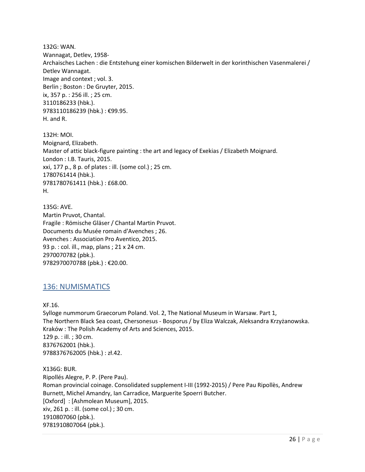132G: WAN. Wannagat, Detlev, 1958- Archaisches Lachen : die Entstehung einer komischen Bilderwelt in der korinthischen Vasenmalerei / Detlev Wannagat. Image and context ; vol. 3. Berlin ; Boston : De Gruyter, 2015. ix, 357 p. : 256 ill. ; 25 cm. 3110186233 (hbk.). 9783110186239 (hbk.) : €99.95. H. and R.

132H: MOI. Moignard, Elizabeth. Master of attic black-figure painting : the art and legacy of Exekias / Elizabeth Moignard. London : I.B. Tauris, 2015. xxi, 177 p., 8 p. of plates : ill. (some col.) ; 25 cm. 1780761414 (hbk.). 9781780761411 (hbk.) : £68.00. H.

135G: AVE. Martin Pruvot, Chantal. Fragile : Römische Gläser / Chantal Martin Pruvot. Documents du Musée romain d'Avenches ; 26. Avenches : Association Pro Aventico, 2015. 93 p. : col. ill., map, plans ; 21 x 24 cm. 2970070782 (pbk.). 9782970070788 (pbk.) : €20.00.

# <span id="page-25-0"></span>136: NUMISMATICS

XF.16.

Sylloge nummorum Graecorum Poland. Vol. 2, The National Museum in Warsaw. Part 1, The Northern Black Sea coast, Chersonesus - Bosporus / by Eliza Walczak, Aleksandra Krzyżanowska. Kraków : The Polish Academy of Arts and Sciences, 2015. 129 p. : ill. ; 30 cm. 8376762001 (hbk.). 9788376762005 (hbk.) : zł.42.

#### X136G: BUR. Ripollés Alegre, P. P. (Pere Pau). Roman provincial coinage. Consolidated supplement I-III (1992-2015) / Pere Pau Ripollès, Andrew Burnett, Michel Amandry, Ian Carradice, Marguerite Spoerri Butcher. [Oxford] : [Ashmolean Museum], 2015. xiv, 261 p. : ill. (some col.) ; 30 cm. 1910807060 (pbk.). 9781910807064 (pbk.).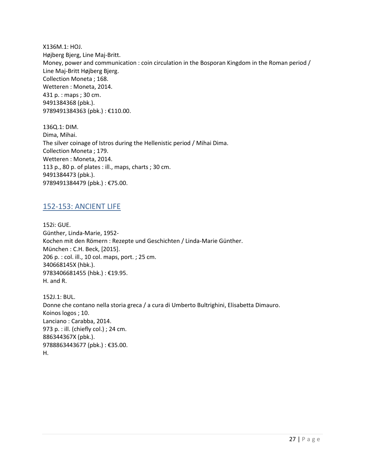X136M.1: HOJ. Højberg Bjerg, Line Maj-Britt. Money, power and communication : coin circulation in the Bosporan Kingdom in the Roman period / Line Maj-Britt Højberg Bjerg. Collection Moneta ; 168. Wetteren : Moneta, 2014. 431 p. : maps ; 30 cm. 9491384368 (pbk.). 9789491384363 (pbk.) : €110.00.

136Q.1: DIM. Dima, Mihai. The silver coinage of Istros during the Hellenistic period / Mihai Dima. Collection Moneta ; 179. Wetteren : Moneta, 2014. 113 p., 80 p. of plates : ill., maps, charts ; 30 cm. 9491384473 (pbk.). 9789491384479 (pbk.) : €75.00.

### <span id="page-26-0"></span>152-153: ANCIENT LIFE

152i: GUE. Günther, Linda-Marie, 1952- Kochen mit den Römern : Rezepte und Geschichten / Linda-Marie Günther. München : C.H. Beck, [2015]. 206 p. : col. ill., 10 col. maps, port. ; 25 cm. 340668145X (hbk.). 9783406681455 (hbk.) : €19.95. H. and R.

152J.1: BUL. Donne che contano nella storia greca / a cura di Umberto Bultrighini, Elisabetta Dimauro. Koinos logos ; 10. Lanciano : Carabba, 2014. 973 p. : ill. (chiefly col.) ; 24 cm. 886344367X (pbk.). 9788863443677 (pbk.) : €35.00. H.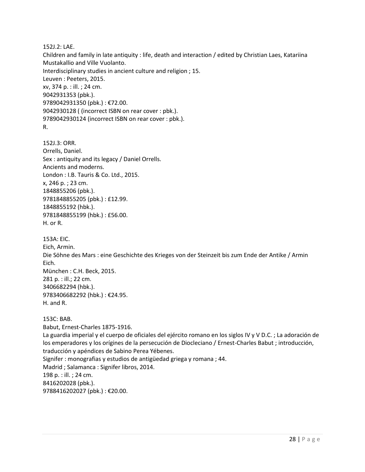152J.2: LAE.

Children and family in late antiquity : life, death and interaction / edited by Christian Laes, Katariina Mustakallio and Ville Vuolanto.

Interdisciplinary studies in ancient culture and religion ; 15.

Leuven : Peeters, 2015. xv, 374 p. : ill. ; 24 cm. 9042931353 (pbk.). 9789042931350 (pbk.) : €72.00. 9042930128 ( (incorrect ISBN on rear cover : pbk.). 9789042930124 (incorrect ISBN on rear cover : pbk.). R.

152J.3: ORR. Orrells, Daniel. Sex : antiquity and its legacy / Daniel Orrells. Ancients and moderns. London : I.B. Tauris & Co. Ltd., 2015. x, 246 p. ; 23 cm. 1848855206 (pbk.). 9781848855205 (pbk.) : £12.99. 1848855192 (hbk.). 9781848855199 (hbk.) : £56.00. H. or R.

153A: EIC. Eich, Armin. Die Söhne des Mars : eine Geschichte des Krieges von der Steinzeit bis zum Ende der Antike / Armin Eich. München : C.H. Beck, 2015. 281 p. : ill.; 22 cm. 3406682294 (hbk.). 9783406682292 (hbk.) : €24.95. H. and R.

153C: BAB. Babut, Ernest-Charles 1875-1916. La guardia imperial y el cuerpo de oficiales del ejército romano en los siglos IV y V D.C. ; La adoración de los emperadores y los orígines de la persecución de Diocleciano / Ernest-Charles Babut ; introducción, traducción y apéndices de Sabino Perea Yébenes. Signifer : monografias y estudios de antigüedad griega y romana ; 44. Madrid ; Salamanca : Signifer libros, 2014. 198 p. : ill. ; 24 cm. 8416202028 (pbk.). 9788416202027 (pbk.) : €20.00.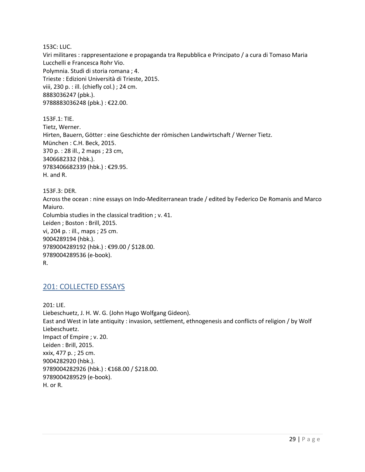153C: LUC.

Viri militares : rappresentazione e propaganda tra Repubblica e Principato / a cura di Tomaso Maria Lucchelli e Francesca Rohr Vio. Polymnia. Studi di storia romana ; 4. Trieste : Edizioni Università di Trieste, 2015. viii, 230 p. : ill. (chiefly col.) ; 24 cm. 8883036247 (pbk.). 9788883036248 (pbk.) : €22.00.

153F.1: TIE. Tietz, Werner. Hirten, Bauern, Götter : eine Geschichte der römischen Landwirtschaft / Werner Tietz. München : C.H. Beck, 2015. 370 p. : 28 ill., 2 maps ; 23 cm, 3406682332 (hbk.). 9783406682339 (hbk.) : €29.95. H. and R.

153F.3: DER. Across the ocean : nine essays on Indo-Mediterranean trade / edited by Federico De Romanis and Marco Maiuro. Columbia studies in the classical tradition ; v. 41. Leiden ; Boston : Brill, 2015. vi, 204 p. : ill., maps ; 25 cm. 9004289194 (hbk.). 9789004289192 (hbk.) : €99.00 / \$128.00. 9789004289536 (e-book). R.

# <span id="page-28-0"></span>201: COLLECTED ESSAYS

201: LIE. Liebeschuetz, J. H. W. G. (John Hugo Wolfgang Gideon). East and West in late antiquity : invasion, settlement, ethnogenesis and conflicts of religion / by Wolf Liebeschuetz. Impact of Empire ; v. 20. Leiden : Brill, 2015. xxix, 477 p. ; 25 cm. 9004282920 (hbk.). 9789004282926 (hbk.) : €168.00 / \$218.00. 9789004289529 (e-book). H. or R.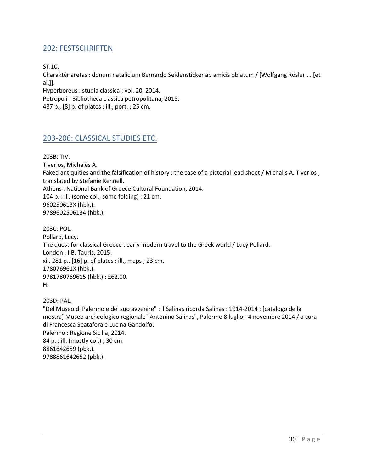# <span id="page-29-0"></span>202: FESTSCHRIFTEN

ST.10.

Charaktēr aretas : donum natalicium Bernardo Seidensticker ab amicis oblatum / [Wolfgang Rösler ... [et al.]].

Hyperboreus : studia classica ; vol. 20, 2014. Petropoli : Bibliotheca classica petropolitana, 2015. 487 p., [8] p. of plates : ill., port. ; 25 cm.

### <span id="page-29-1"></span>203-206: CLASSICAL STUDIES ETC.

203B: TIV.

Tiverios, Michalēs A. Faked antiquities and the falsification of history : the case of a pictorial lead sheet / Michalis A. Tiverios ; translated by Stefanie Kennell. Athens : National Bank of Greece Cultural Foundation, 2014. 104 p. : ill. (some col., some folding) ; 21 cm. 960250613X (hbk.). 9789602506134 (hbk.).

203C: POL. Pollard, Lucy. The quest for classical Greece : early modern travel to the Greek world / Lucy Pollard. London : I.B. Tauris, 2015. xii, 281 p., [16] p. of plates : ill., maps ; 23 cm. 178076961X (hbk.). 9781780769615 (hbk.) : £62.00. H.

203D: PAL.

"Del Museo di Palermo e del suo avvenire" : il Salinas ricorda Salinas : 1914-2014 : [catalogo della mostra] Museo archeologico regionale "Antonino Salinas", Palermo 8 luglio - 4 novembre 2014 / a cura di Francesca Spatafora e Lucina Gandolfo. Palermo : Regione Sicilia, 2014. 84 p. : ill. (mostly col.) ; 30 cm. 8861642659 (pbk.). 9788861642652 (pbk.).